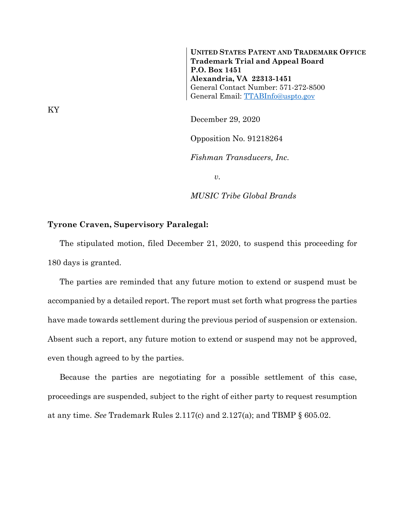**UNITED STATES PATENT AND TRADEMARK OFFICE Trademark Trial and Appeal Board P.O. Box 1451 Alexandria, VA 22313-1451** General Contact Number: 571-272-8500 General Email: [TTABInfo@uspto.gov](mailto:TTABInfo@uspto.gov)

December 29, 2020

Opposition No. 91218264

*Fishman Transducers, Inc.*

*v.*

*MUSIC Tribe Global Brands*

## **Tyrone Craven, Supervisory Paralegal:**

The stipulated motion, filed December 21, 2020, to suspend this proceeding for 180 days is granted.

The parties are reminded that any future motion to extend or suspend must be accompanied by a detailed report. The report must set forth what progress the parties have made towards settlement during the previous period of suspension or extension. Absent such a report, any future motion to extend or suspend may not be approved, even though agreed to by the parties.

Because the parties are negotiating for a possible settlement of this case, proceedings are suspended, subject to the right of either party to request resumption at any time. *See* Trademark Rules 2.117(c) and 2.127(a); and TBMP § 605.02.

KY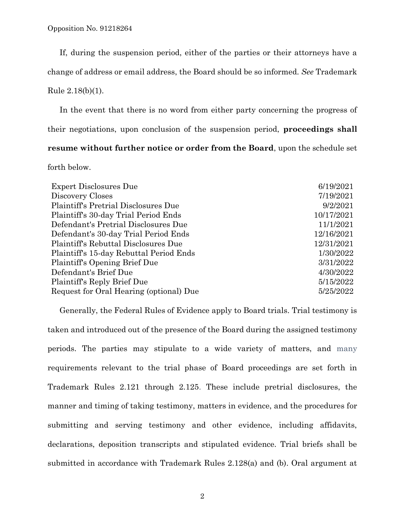If, during the suspension period, either of the parties or their attorneys have a

change of address or email address, the Board should be so informed. *See* Trademark

Rule 2.18(b)(1).

In the event that there is no word from either party concerning the progress of their negotiations, upon conclusion of the suspension period, **proceedings shall resume without further notice or order from the Board**, upon the schedule set

forth below.

| <b>Expert Disclosures Due</b>           | 6/19/2021  |
|-----------------------------------------|------------|
| Discovery Closes                        | 7/19/2021  |
| Plaintiff's Pretrial Disclosures Due    | 9/2/2021   |
| Plaintiff's 30-day Trial Period Ends    | 10/17/2021 |
| Defendant's Pretrial Disclosures Due    | 11/1/2021  |
| Defendant's 30-day Trial Period Ends    | 12/16/2021 |
| Plaintiff's Rebuttal Disclosures Due    | 12/31/2021 |
| Plaintiff's 15-day Rebuttal Period Ends | 1/30/2022  |
| Plaintiff's Opening Brief Due           | 3/31/2022  |
| Defendant's Brief Due                   | 4/30/2022  |
| Plaintiff's Reply Brief Due             | 5/15/2022  |
| Request for Oral Hearing (optional) Due | 5/25/2022  |
|                                         |            |

Generally, the Federal Rules of Evidence apply to Board trials. Trial testimony is taken and introduced out of the presence of the Board during the assigned testimony periods. The parties may stipulate to a wide variety of matters, and many requirements relevant to the trial phase of Board proceedings are set forth in Trademark Rules 2.121 through 2.125. These include pretrial disclosures, the manner and timing of taking testimony, matters in evidence, and the procedures for submitting and serving testimony and other evidence, including affidavits, declarations, deposition transcripts and stipulated evidence. Trial briefs shall be submitted in accordance with Trademark Rules 2.128(a) and (b). Oral argument at